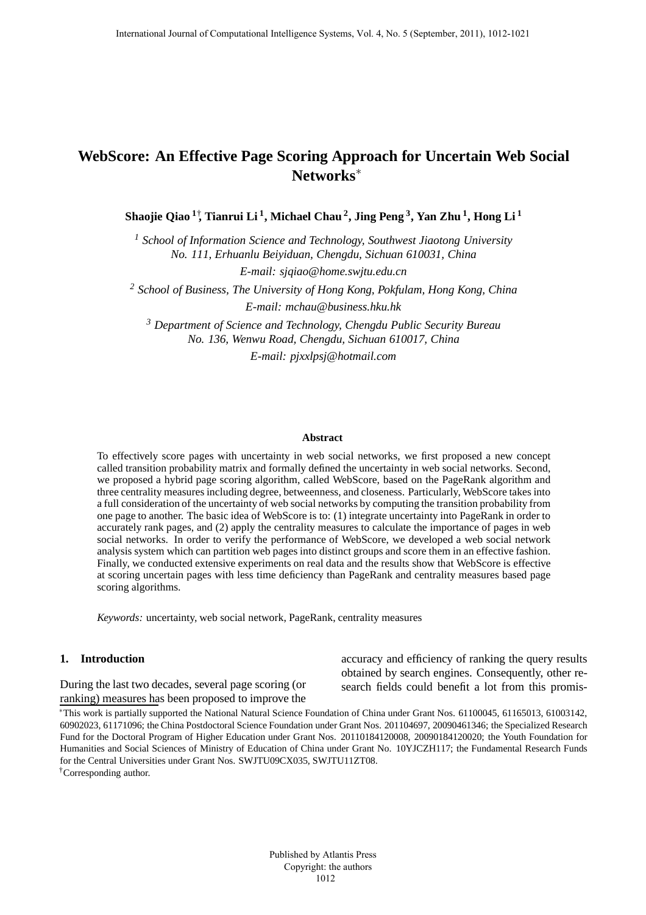# **WebScore: An Effective Page Scoring Approach for Uncertain Web Social Networks**<sup>∗</sup>

**Shaojie Qiao <sup>1</sup>**† **, Tianrui Li <sup>1</sup> , Michael Chau <sup>2</sup> , Jing Peng <sup>3</sup> , Yan Zhu <sup>1</sup> , Hong Li <sup>1</sup>**

*<sup>1</sup> School of Information Science and Technology, Southwest Jiaotong University No. 111, Erhuanlu Beiyiduan, Chengdu, Sichuan 610031, China E-mail: sjqiao@home.swjtu.edu.cn*

*<sup>2</sup> School of Business, The University of Hong Kong, Pokfulam, Hong Kong, China*

*E-mail: mchau@business.hku.hk*

*<sup>3</sup> Department of Science and Technology, Chengdu Public Security Bureau No. 136, Wenwu Road, Chengdu, Sichuan 610017, China E-mail: pjxxlpsj@hotmail.com*

#### **Abstract**

To effectively score pages with uncertainty in web social networks, we first proposed a new concept called transition probability matrix and formally defined the uncertainty in web social networks. Second, we proposed a hybrid page scoring algorithm, called WebScore, based on the PageRank algorithm and three centrality measures including degree, betweenness, and closeness. Particularly, WebScore takes into a full consideration of the uncertainty of web social networks by computing the transition probability from one page to another. The basic idea of WebScore is to: (1) integrate uncertainty into PageRank in order to accurately rank pages, and (2) apply the centrality measures to calculate the importance of pages in web social networks. In order to verify the performance of WebScore, we developed a web social network analysis system which can partition web pages into distinct groups and score them in an effective fashion. Finally, we conducted extensive experiments on real data and the results show that WebScore is effective at scoring uncertain pages with less time deficiency than PageRank and centrality measures based page scoring algorithms.

*Keywords:* uncertainty, web social network, PageRank, centrality measures

### **1. Introduction**

During the last two decades, several page scoring (or ranking) measures has been proposed to improve the

accuracy and efficiency of ranking the query results obtained by search engines. Consequently, other research fields could benefit a lot from this promis-

<sup>∗</sup>This work is partially supported the National Natural Science Foundation of China under Grant Nos. 61100045, 61165013, 61003142, 60902023, 61171096; the China Postdoctoral Science Foundation under Grant Nos. 201104697, 20090461346; the Specialized Research Fund for the Doctoral Program of Higher Education under Grant Nos. 20110184120008, 20090184120020; the Youth Foundation for Humanities and Social Sciences of Ministry of Education of China under Grant No. 10YJCZH117; the Fundamental Research Funds for the Central Universities under Grant Nos. SWJTU09CX035, SWJTU11ZT08. †Corresponding author.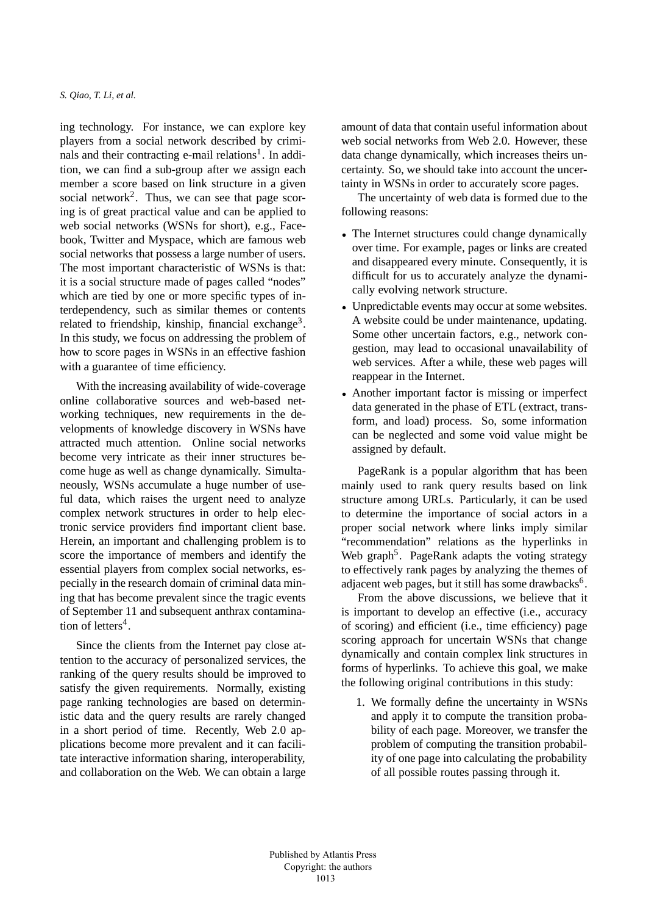ing technology. For instance, we can explore key players from a social network described by criminals and their contracting e-mail relations<sup>1</sup>. In addition, we can find a sub-group after we assign each member a score based on link structure in a given social network<sup>2</sup>. Thus, we can see that page scoring is of great practical value and can be applied to web social networks (WSNs for short), e.g., Facebook, Twitter and Myspace, which are famous web social networks that possess a large number of users. The most important characteristic of WSNs is that: it is a social structure made of pages called "nodes" which are tied by one or more specific types of interdependency, such as similar themes or contents related to friendship, kinship, financial exchange<sup>3</sup>. In this study, we focus on addressing the problem of how to score pages in WSNs in an effective fashion with a guarantee of time efficiency.

With the increasing availability of wide-coverage online collaborative sources and web-based networking techniques, new requirements in the developments of knowledge discovery in WSNs have attracted much attention. Online social networks become very intricate as their inner structures become huge as well as change dynamically. Simultaneously, WSNs accumulate a huge number of useful data, which raises the urgent need to analyze complex network structures in order to help electronic service providers find important client base. Herein, an important and challenging problem is to score the importance of members and identify the essential players from complex social networks, especially in the research domain of criminal data mining that has become prevalent since the tragic events of September 11 and subsequent anthrax contamination of letters<sup>4</sup>.

Since the clients from the Internet pay close attention to the accuracy of personalized services, the ranking of the query results should be improved to satisfy the given requirements. Normally, existing page ranking technologies are based on deterministic data and the query results are rarely changed in a short period of time. Recently, Web 2.0 applications become more prevalent and it can facilitate interactive information sharing, interoperability, and collaboration on the Web. We can obtain a large

amount of data that contain useful information about web social networks from Web 2.0. However, these data change dynamically, which increases theirs uncertainty. So, we should take into account the uncertainty in WSNs in order to accurately score pages.

The uncertainty of web data is formed due to the following reasons:

- The Internet structures could change dynamically over time. For example, pages or links are created and disappeared every minute. Consequently, it is difficult for us to accurately analyze the dynamically evolving network structure.
- Unpredictable events may occur at some websites. A website could be under maintenance, updating. Some other uncertain factors, e.g., network congestion, may lead to occasional unavailability of web services. After a while, these web pages will reappear in the Internet.
- Another important factor is missing or imperfect data generated in the phase of ETL (extract, transform, and load) process. So, some information can be neglected and some void value might be assigned by default.

PageRank is a popular algorithm that has been mainly used to rank query results based on link structure among URLs. Particularly, it can be used to determine the importance of social actors in a proper social network where links imply similar "recommendation" relations as the hyperlinks in Web graph<sup>5</sup>. PageRank adapts the voting strategy to effectively rank pages by analyzing the themes of adjacent web pages, but it still has some drawbacks<sup>6</sup>.

From the above discussions, we believe that it is important to develop an effective (i.e., accuracy of scoring) and efficient (i.e., time efficiency) page scoring approach for uncertain WSNs that change dynamically and contain complex link structures in forms of hyperlinks. To achieve this goal, we make the following original contributions in this study:

1. We formally define the uncertainty in WSNs and apply it to compute the transition probability of each page. Moreover, we transfer the problem of computing the transition probability of one page into calculating the probability of all possible routes passing through it.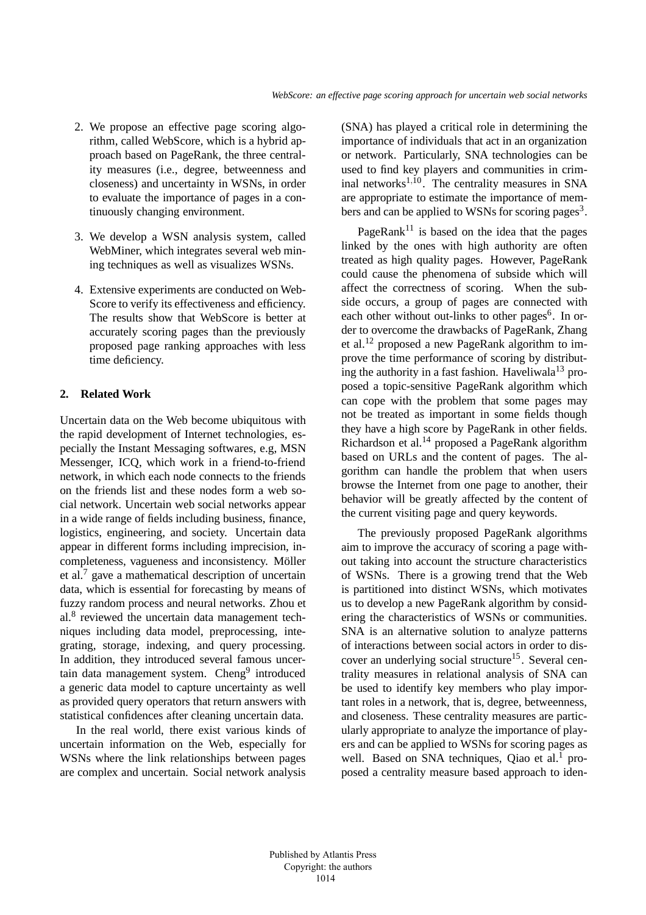- 2. We propose an effective page scoring algorithm, called WebScore, which is a hybrid approach based on PageRank, the three centrality measures (i.e., degree, betweenness and closeness) and uncertainty in WSNs, in order to evaluate the importance of pages in a continuously changing environment.
- 3. We develop a WSN analysis system, called WebMiner, which integrates several web mining techniques as well as visualizes WSNs.
- 4. Extensive experiments are conducted on Web-Score to verify its effectiveness and efficiency. The results show that WebScore is better at accurately scoring pages than the previously proposed page ranking approaches with less time deficiency.

# **2. Related Work**

Uncertain data on the Web become ubiquitous with the rapid development of Internet technologies, especially the Instant Messaging softwares, e.g, MSN Messenger, ICQ, which work in a friend-to-friend network, in which each node connects to the friends on the friends list and these nodes form a web social network. Uncertain web social networks appear in a wide range of fields including business, finance, logistics, engineering, and society. Uncertain data appear in different forms including imprecision, incompleteness, vagueness and inconsistency. Möller et al.<sup>7</sup> gave a mathematical description of uncertain data, which is essential for forecasting by means of fuzzy random process and neural networks. Zhou et al.<sup>8</sup> reviewed the uncertain data management techniques including data model, preprocessing, integrating, storage, indexing, and query processing. In addition, they introduced several famous uncertain data management system. Cheng<sup>9</sup> introduced a generic data model to capture uncertainty as well as provided query operators that return answers with statistical confidences after cleaning uncertain data.

In the real world, there exist various kinds of uncertain information on the Web, especially for WSNs where the link relationships between pages are complex and uncertain. Social network analysis

(SNA) has played a critical role in determining the importance of individuals that act in an organization or network. Particularly, SNA technologies can be used to find key players and communities in criminal networks $1,10$ . The centrality measures in SNA are appropriate to estimate the importance of members and can be applied to WSNs for scoring pages<sup>3</sup>.

PageRank<sup>11</sup> is based on the idea that the pages linked by the ones with high authority are often treated as high quality pages. However, PageRank could cause the phenomena of subside which will affect the correctness of scoring. When the subside occurs, a group of pages are connected with each other without out-links to other pages<sup>6</sup>. In order to overcome the drawbacks of PageRank, Zhang et al.<sup>12</sup> proposed a new PageRank algorithm to improve the time performance of scoring by distributing the authority in a fast fashion. Have lived  $a^{13}$  proposed a topic-sensitive PageRank algorithm which can cope with the problem that some pages may not be treated as important in some fields though they have a high score by PageRank in other fields. Richardson et al.<sup>14</sup> proposed a PageRank algorithm based on URLs and the content of pages. The algorithm can handle the problem that when users browse the Internet from one page to another, their behavior will be greatly affected by the content of the current visiting page and query keywords.

The previously proposed PageRank algorithms aim to improve the accuracy of scoring a page without taking into account the structure characteristics of WSNs. There is a growing trend that the Web is partitioned into distinct WSNs, which motivates us to develop a new PageRank algorithm by considering the characteristics of WSNs or communities. SNA is an alternative solution to analyze patterns of interactions between social actors in order to discover an underlying social structure<sup>15</sup>. Several centrality measures in relational analysis of SNA can be used to identify key members who play important roles in a network, that is, degree, betweenness, and closeness. These centrality measures are particularly appropriate to analyze the importance of players and can be applied to WSNs for scoring pages as well. Based on SNA techniques, Qiao et al.<sup>1</sup> proposed a centrality measure based approach to iden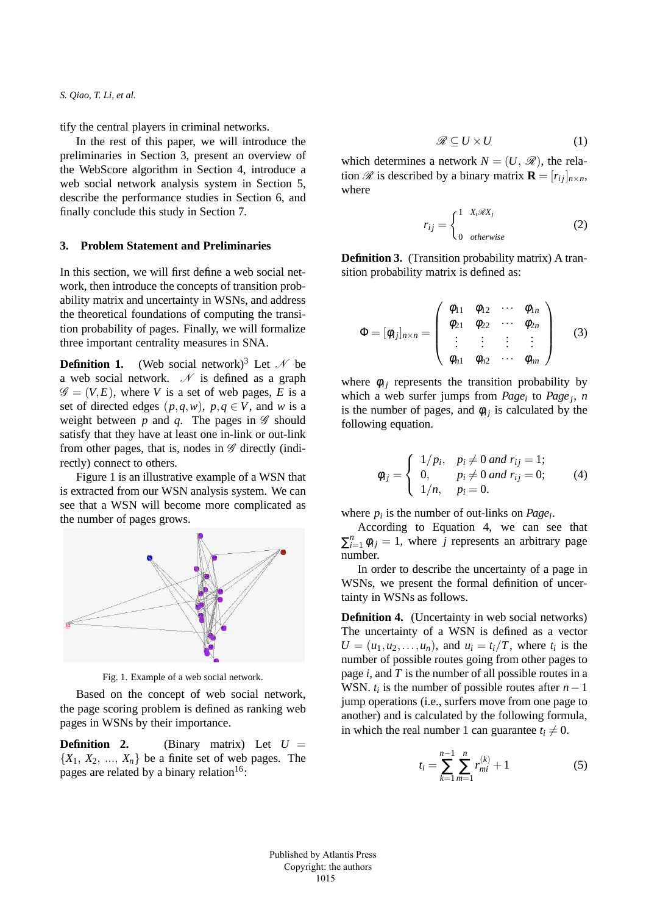*S. Qiao, T. Li, et al.*

tify the central players in criminal networks.

In the rest of this paper, we will introduce the preliminaries in Section 3, present an overview of the WebScore algorithm in Section 4, introduce a web social network analysis system in Section 5, describe the performance studies in Section 6, and finally conclude this study in Section 7.

### **3. Problem Statement and Preliminaries**

In this section, we will first define a web social network, then introduce the concepts of transition probability matrix and uncertainty in WSNs, and address the theoretical foundations of computing the transition probability of pages. Finally, we will formalize three important centrality measures in SNA.

**Definition 1.** (Web social network)<sup>3</sup> Let  $\mathcal N$  be a web social network.  $\mathcal N$  is defined as a graph  $\mathscr{G} = (V, E)$ , where *V* is a set of web pages, *E* is a set of directed edges  $(p,q,w)$ ,  $p,q \in V$ , and *w* is a weight between  $p$  and  $q$ . The pages in  $\mathscr G$  should satisfy that they have at least one in-link or out-link from other pages, that is, nodes in  $\mathscr G$  directly (indirectly) connect to others.

Figure 1 is an illustrative example of a WSN that is extracted from our WSN analysis system. We can see that a WSN will become more complicated as the number of pages grows.



Fig. 1. Example of a web social network.

Based on the concept of web social network, the page scoring problem is defined as ranking web pages in WSNs by their importance.

**Definition 2.** (Binary matrix) Let *U* =  ${X_1, X_2, ..., X_n}$  be a finite set of web pages. The pages are related by a binary relation<sup>16</sup>:

$$
\mathscr{R} \subseteq U \times U \tag{1}
$$

which determines a network  $N = (U, \mathcal{R})$ , the relation  $\mathscr R$  is described by a binary matrix  $\mathbf{R} = [r_{ij}]_{n \times n}$ , where

$$
r_{ij} = \begin{cases} 1 & X_i \mathcal{R} X_j \\ 0 & otherwise \end{cases}
$$
 (2)

**Definition 3.** (Transition probability matrix) A transition probability matrix is defined as:

$$
\Phi = [\phi_{ij}]_{n \times n} = \begin{pmatrix} \phi_{11} & \phi_{12} & \cdots & \phi_{1n} \\ \phi_{21} & \phi_{22} & \cdots & \phi_{2n} \\ \vdots & \vdots & \vdots & \vdots \\ \phi_{n1} & \phi_{n2} & \cdots & \phi_{nn} \end{pmatrix}
$$
 (3)

where  $\phi_{ij}$  represents the transition probability by which a web surfer jumps from *Page<sup>i</sup>* to *Page<sup>j</sup>* , *n* is the number of pages, and  $\phi_{ij}$  is calculated by the following equation.

$$
\phi_{ij} = \begin{cases} 1/p_i, & p_i \neq 0 \text{ and } r_{ij} = 1; \\ 0, & p_i \neq 0 \text{ and } r_{ij} = 0; \\ 1/n, & p_i = 0. \end{cases}
$$
 (4)

where  $p_i$  is the number of out-links on  $Page_i$ .

According to Equation 4, we can see that  $\sum_{i=1}^{n} \phi_{ij} = 1$ , where *j* represents an arbitrary page number.

In order to describe the uncertainty of a page in WSNs, we present the formal definition of uncertainty in WSNs as follows.

**Definition 4.** (Uncertainty in web social networks) The uncertainty of a WSN is defined as a vector  $U = (u_1, u_2, \dots, u_n)$ , and  $u_i = t_i/T$ , where  $t_i$  is the number of possible routes going from other pages to page *i*, and *T* is the number of all possible routes in a WSN.  $t_i$  is the number of possible routes after  $n-1$ jump operations (i.e., surfers move from one page to another) and is calculated by the following formula, in which the real number 1 can guarantee  $t_i \neq 0$ .

$$
t_i = \sum_{k=1}^{n-1} \sum_{m=1}^{n} r_{mi}^{(k)} + 1
$$
 (5)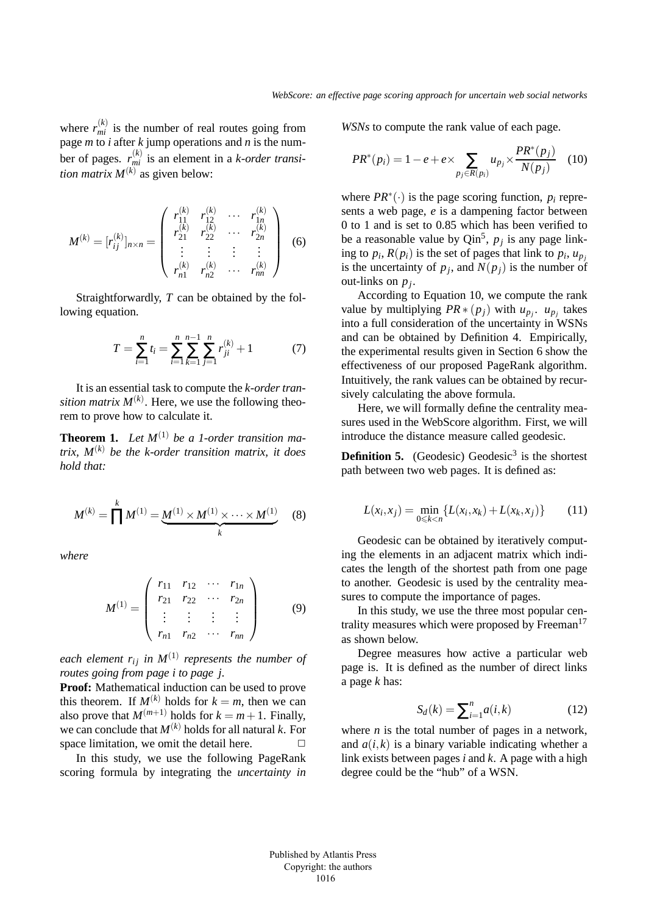where  $r_{mi}^{(k)}$  $\binom{k}{m}$  is the number of real routes going from page *m* to *i* after *k* jump operations and *n* is the number of pages.  $r_{mi}^{(k)}$ *mi* is an element in a *k*-*order transition matrix*  $M^{(k)}$  as given below:

$$
M^{(k)} = [r_{ij}^{(k)}]_{n \times n} = \begin{pmatrix} r_{11}^{(k)} & r_{12}^{(k)} & \cdots & r_{1n}^{(k)} \\ r_{21}^{(k)} & r_{22}^{(k)} & \cdots & r_{2n}^{(k)} \\ \vdots & \vdots & \vdots & \vdots \\ r_{n1}^{(k)} & r_{n2}^{(k)} & \cdots & r_{nn}^{(k)} \end{pmatrix}
$$
(6)

Straightforwardly, *T* can be obtained by the following equation.

$$
T = \sum_{i=1}^{n} t_i = \sum_{i=1}^{n} \sum_{k=1}^{n-1} \sum_{j=1}^{n} r_{ji}^{(k)} + 1 \tag{7}
$$

It is an essential task to compute the *k*-*order transition matrix*  $M^{(k)}$ . Here, we use the following theorem to prove how to calculate it.

**Theorem 1.** Let  $M^{(1)}$  be a 1-order transition ma*trix, M*(*k*) *be the k-order transition matrix, it does hold that:*

$$
M^{(k)} = \prod^{k} M^{(1)} = \underbrace{M^{(1)} \times M^{(1)} \times \cdots \times M^{(1)}}_{k}
$$
 (8)

*where*

$$
M^{(1)} = \begin{pmatrix} r_{11} & r_{12} & \cdots & r_{1n} \\ r_{21} & r_{22} & \cdots & r_{2n} \\ \vdots & \vdots & \vdots & \vdots \\ r_{n1} & r_{n2} & \cdots & r_{nn} \end{pmatrix}
$$
 (9)

each element  $r_{ij}$  in  $M^{(1)}$  represents the number of *routes going from page i to page j.*

**Proof:** Mathematical induction can be used to prove this theorem. If  $M^{(k)}$  holds for  $k = m$ , then we can also prove that  $M^{(m+1)}$  holds for  $k = m + 1$ . Finally, we can conclude that  $M^{(k)}$  holds for all natural *k*. For space limitation, we omit the detail here.

In this study, we use the following PageRank scoring formula by integrating the *uncertainty in*

*WSNs* to compute the rank value of each page.

$$
PR^*(p_i) = 1 - e + e \times \sum_{p_j \in R(p_i)} u_{p_j} \times \frac{PR^*(p_j)}{N(p_j)} \quad (10)
$$

where  $PR^*(\cdot)$  is the page scoring function,  $p_i$  represents a web page, *e* is a dampening factor between 0 to 1 and is set to 0.85 which has been verified to be a reasonable value by  $Qin^5$ ,  $p_j$  is any page linking to  $p_i$ ,  $R(p_i)$  is the set of pages that link to  $p_i$ ,  $u_{p_j}$ is the uncertainty of  $p_j$ , and  $N(p_j)$  is the number of out-links on *p<sup>j</sup>* .

According to Equation 10, we compute the rank value by multiplying  $PR * (p_j)$  with  $u_{p_j}$ .  $u_{p_j}$  takes into a full consideration of the uncertainty in WSNs and can be obtained by Definition 4. Empirically, the experimental results given in Section 6 show the effectiveness of our proposed PageRank algorithm. Intuitively, the rank values can be obtained by recursively calculating the above formula.

Here, we will formally define the centrality measures used in the WebScore algorithm. First, we will introduce the distance measure called geodesic.

**Definition 5.** (Geodesic) Geodesic<sup>3</sup> is the shortest path between two web pages. It is defined as:

$$
L(x_i, x_j) = \min_{0 \le k < n} \{ L(x_i, x_k) + L(x_k, x_j) \} \tag{11}
$$

Geodesic can be obtained by iteratively computing the elements in an adjacent matrix which indicates the length of the shortest path from one page to another. Geodesic is used by the centrality measures to compute the importance of pages.

In this study, we use the three most popular centrality measures which were proposed by Freeman<sup>17</sup> as shown below.

Degree measures how active a particular web page is. It is defined as the number of direct links a page *k* has:

$$
S_d(k) = \sum_{i=1}^n a(i,k) \tag{12}
$$

where  $n$  is the total number of pages in a network, and  $a(i,k)$  is a binary variable indicating whether a link exists between pages *i* and *k*. A page with a high degree could be the "hub" of a WSN.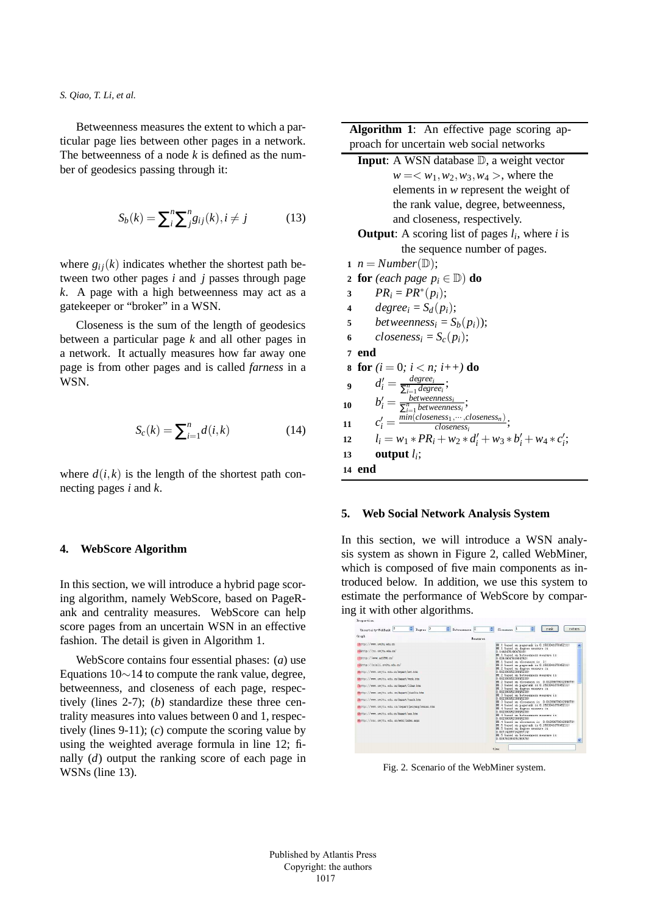*S. Qiao, T. Li, et al.*

Betweenness measures the extent to which a particular page lies between other pages in a network. The betweenness of a node *k* is defined as the number of geodesics passing through it:

$$
S_b(k) = \sum_{i}^{n} \sum_{j}^{n} g_{ij}(k), i \neq j \tag{13}
$$

where  $g_{ij}(k)$  indicates whether the shortest path between two other pages *i* and *j* passes through page *k*. A page with a high betweenness may act as a gatekeeper or "broker" in a WSN.

Closeness is the sum of the length of geodesics between a particular page *k* and all other pages in a network. It actually measures how far away one page is from other pages and is called *farness* in a WSN.

$$
S_c(k) = \sum_{i=1}^{n} d(i,k)
$$
 (14)

where  $d(i,k)$  is the length of the shortest path connecting pages *i* and *k*.

### **4. WebScore Algorithm**

In this section, we will introduce a hybrid page scoring algorithm, namely WebScore, based on PageRank and centrality measures. WebScore can help score pages from an uncertain WSN in an effective fashion. The detail is given in Algorithm 1.

WebScore contains four essential phases: (*a*) use Equations 10∼14 to compute the rank value, degree, betweenness, and closeness of each page, respectively (lines 2-7); (*b*) standardize these three centrality measures into values between 0 and 1, respectively (lines 9-11); (*c*) compute the scoring value by using the weighted average formula in line 12; finally (*d*) output the ranking score of each page in WSNs (line 13).

**Algorithm 1**: An effective page scoring approach for uncertain web social networks

|                  | <b>Input:</b> A WSN database $\mathbb{D}$ , a weight vector           |  |  |  |  |  |  |  |  |  |
|------------------|-----------------------------------------------------------------------|--|--|--|--|--|--|--|--|--|
|                  | $w = \langle w_1, w_2, w_3, w_4 \rangle$ , where the                  |  |  |  |  |  |  |  |  |  |
|                  | elements in w represent the weight of                                 |  |  |  |  |  |  |  |  |  |
|                  | the rank value, degree, betweenness,                                  |  |  |  |  |  |  |  |  |  |
|                  | and closeness, respectively.                                          |  |  |  |  |  |  |  |  |  |
|                  | <b>Output:</b> A scoring list of pages $l_i$ , where i is             |  |  |  |  |  |  |  |  |  |
|                  | the sequence number of pages.                                         |  |  |  |  |  |  |  |  |  |
| $\mathbf{1}$     | $n = Number(\mathbb{D});$                                             |  |  |  |  |  |  |  |  |  |
| $\overline{2}$   | <b>for</b> (each page $p_i \in \mathbb{D}$ ) <b>do</b>                |  |  |  |  |  |  |  |  |  |
| $3^{\circ}$      | $PR_i = PR^*(p_i);$                                                   |  |  |  |  |  |  |  |  |  |
| 4                | $degree_i = S_d(p_i);$                                                |  |  |  |  |  |  |  |  |  |
| 5                | betweenness <sub>i</sub> = $S_h(p_i)$ ;                               |  |  |  |  |  |  |  |  |  |
| 6                | $closeness_i = S_c(p_i);$                                             |  |  |  |  |  |  |  |  |  |
| 7                | end                                                                   |  |  |  |  |  |  |  |  |  |
| 8                | <b>for</b> $(i = 0; i < n; i++)$ <b>do</b>                            |  |  |  |  |  |  |  |  |  |
| $\boldsymbol{9}$ | $d'_i = \frac{degree_i}{\sum_{i=1}^n degree_i};$                      |  |  |  |  |  |  |  |  |  |
| 10               | $b'_i = \frac{betweenness_i}{\sum_{i=1}^{n} betweenness_i};$          |  |  |  |  |  |  |  |  |  |
| 11               | $c'_{i} = \frac{min(closeness_1, \cdots, closeness_n)}{closeness_i};$ |  |  |  |  |  |  |  |  |  |
|                  |                                                                       |  |  |  |  |  |  |  |  |  |
| 12               | $l_i = w_1 * PR_i + w_2 * d'_i + w_3 * b'_i + w_4 * c'_i;$            |  |  |  |  |  |  |  |  |  |
| 13               | output $l_i$ ;                                                        |  |  |  |  |  |  |  |  |  |
|                  | 14 end                                                                |  |  |  |  |  |  |  |  |  |

#### **5. Web Social Network Analysis System**

In this section, we will introduce a WSN analysis system as shown in Figure 2, called WebMiner, which is composed of five main components as introduced below. In addition, we use this system to estimate the performance of WebScore by comparing it with other algorithms.

| Uncertaity-YebRank                                                                                                                                                                                                                                                                                                                                                                                                                                                                             | $\frac{1}{2}$ Degree $3$ | $\frac{1}{x}$ Betweenness 2 |          | Closeness <sup>1</sup> |                                                                                                                                                                                                                                                                                                                                                                                                                                                               | $\ddot{\phantom{0}}$<br>rank                                                                                                                                                                                                                                                                                                                                                                                                                                                                                                                                                                                          | return. |
|------------------------------------------------------------------------------------------------------------------------------------------------------------------------------------------------------------------------------------------------------------------------------------------------------------------------------------------------------------------------------------------------------------------------------------------------------------------------------------------------|--------------------------|-----------------------------|----------|------------------------|---------------------------------------------------------------------------------------------------------------------------------------------------------------------------------------------------------------------------------------------------------------------------------------------------------------------------------------------------------------------------------------------------------------------------------------------------------------|-----------------------------------------------------------------------------------------------------------------------------------------------------------------------------------------------------------------------------------------------------------------------------------------------------------------------------------------------------------------------------------------------------------------------------------------------------------------------------------------------------------------------------------------------------------------------------------------------------------------------|---------|
| Graph                                                                                                                                                                                                                                                                                                                                                                                                                                                                                          |                          |                             | Measures |                        |                                                                                                                                                                                                                                                                                                                                                                                                                                                               |                                                                                                                                                                                                                                                                                                                                                                                                                                                                                                                                                                                                                       |         |
| Shttp://www.xwitu.edu.cn<br>10http://vz. xwitu.edu.cn/<br>Sibtin://www.adiR96.cn/<br>12http://xinli.switz.edu.cn/<br>Shttp://www.switu.edu.on/depart/net.htm<br>6http://www.switu.edu.cn/depart/work.htm<br>Thito://www.switu.edu.cn/depart/libar.htm<br>Shttp://www.switu.edu.cn/depart/jisoliu.htm<br>2http://www.switu.edu.cn/depart/teach.htm<br>Shttp://www.switu.edu.cn/depart/peivane/rencai.htm<br>4http://www.switu.edu.cn/denart/sen.htm<br>Shttp://rsc.switu.edu.cn/web1/index.asox |                          |                             |          |                        | MO. 1 based on degree measure is<br>0.1440476190476191<br>0.02619047619047621<br>HO. 1 based on closeness is 11<br>NO.2 based on degree measure is<br>0.002380952380952381<br>0.002380952380952381<br>HO. 3 based on degree measure is<br>0.002380952380952381<br>0.002380952380952381<br>HO. 4 based on degree measure is<br>0.002380952380952381<br>0.002380952380952381<br>NO.5 based on degree measure is<br>0.007142857142857141<br>0.004761904761904761 | NO. 1 based on pagerank is 0.1503041870452111<br>HO. 1 based on betweenness neasure is<br>MO. 2 based on pagerank is 0.150304187045211!<br>NO. 2 based on betweenness neasure is<br>NO.2 baxed on closeness is 0.01209879012098791<br>NO. 3 based on pagerank is 0.150304187045211!<br>HO. 3 baxed on betweenness neasure is<br>NO. 3 based on closeness is 0.0120987901209879!<br>NO. 4 based on pagerank is 0.150304187045211!<br>MO. 4 hazed on hetweenness neasure is<br>NO. 4 based on closeness is 0.0120987901209879!<br>NO. 5 based on pagerank is 0.1503041870452111<br>W) 5 hazed on hetweenness neasure is |         |

Fig. 2. Scenario of the WebMiner system.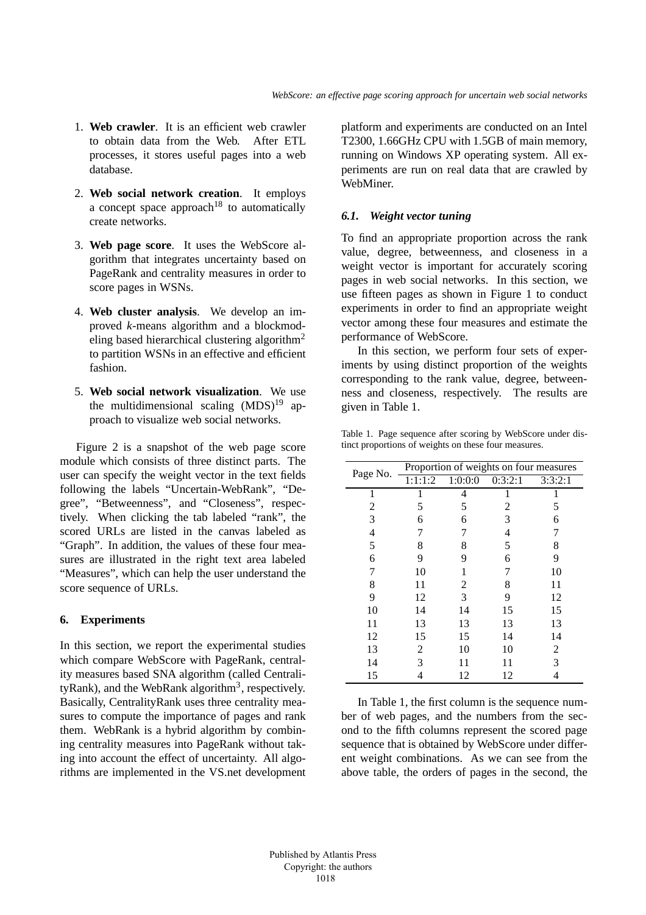- 1. **Web crawler**. It is an efficient web crawler to obtain data from the Web. After ETL processes, it stores useful pages into a web database.
- 2. **Web social network creation**. It employs a concept space approach<sup>18</sup> to automatically create networks.
- 3. **Web page score**. It uses the WebScore algorithm that integrates uncertainty based on PageRank and centrality measures in order to score pages in WSNs.
- 4. **Web cluster analysis**. We develop an improved *k*-means algorithm and a blockmodeling based hierarchical clustering algorithm<sup>2</sup> to partition WSNs in an effective and efficient fashion.
- 5. **Web social network visualization**. We use the multidimensional scaling  $(MDS)^{19}$  approach to visualize web social networks.

Figure 2 is a snapshot of the web page score module which consists of three distinct parts. The user can specify the weight vector in the text fields following the labels "Uncertain-WebRank", "Degree", "Betweenness", and "Closeness", respectively. When clicking the tab labeled "rank", the scored URLs are listed in the canvas labeled as "Graph". In addition, the values of these four measures are illustrated in the right text area labeled "Measures", which can help the user understand the score sequence of URLs.

# **6. Experiments**

In this section, we report the experimental studies which compare WebScore with PageRank, centrality measures based SNA algorithm (called CentralityRank), and the WebRank algorithm<sup>3</sup>, respectively. Basically, CentralityRank uses three centrality measures to compute the importance of pages and rank them. WebRank is a hybrid algorithm by combining centrality measures into PageRank without taking into account the effect of uncertainty. All algorithms are implemented in the VS.net development platform and experiments are conducted on an Intel T2300, 1.66GHz CPU with 1.5GB of main memory, running on Windows XP operating system. All experiments are run on real data that are crawled by WebMiner.

# *6.1. Weight vector tuning*

To find an appropriate proportion across the rank value, degree, betweenness, and closeness in a weight vector is important for accurately scoring pages in web social networks. In this section, we use fifteen pages as shown in Figure 1 to conduct experiments in order to find an appropriate weight vector among these four measures and estimate the performance of WebScore.

In this section, we perform four sets of experiments by using distinct proportion of the weights corresponding to the rank value, degree, betweenness and closeness, respectively. The results are given in Table 1.

Table 1. Page sequence after scoring by WebScore under distinct proportions of weights on these four measures.

| Page No. | Proportion of weights on four measures |         |         |         |  |  |  |
|----------|----------------------------------------|---------|---------|---------|--|--|--|
|          | 1:1:1:2                                | 1:0:0:0 | 0:3:2:1 | 3:3:2:1 |  |  |  |
| 1        |                                        | 4       |         |         |  |  |  |
| 2        | 5                                      | 5       | 2       | 5       |  |  |  |
| 3        | 6                                      | 6       | 3       | 6       |  |  |  |
| 4        | 7                                      | 7       | 4       | 7       |  |  |  |
| 5        | 8                                      | 8       | 5       | 8       |  |  |  |
| 6        | 9                                      | 9       | 6       | 9       |  |  |  |
| 7        | 10                                     | 1       | 7       | 10      |  |  |  |
| 8        | 11                                     | 2       | 8       | 11      |  |  |  |
| 9        | 12                                     | 3       | 9       | 12      |  |  |  |
| 10       | 14                                     | 14      | 15      | 15      |  |  |  |
| 11       | 13                                     | 13      | 13      | 13      |  |  |  |
| 12       | 15                                     | 15      | 14      | 14      |  |  |  |
| 13       | 2                                      | 10      | 10      | 2       |  |  |  |
| 14       | 3                                      | 11      | 11      | 3       |  |  |  |
| 15       | 4                                      | 12      | 12      | 4       |  |  |  |

In Table 1, the first column is the sequence number of web pages, and the numbers from the second to the fifth columns represent the scored page sequence that is obtained by WebScore under different weight combinations. As we can see from the above table, the orders of pages in the second, the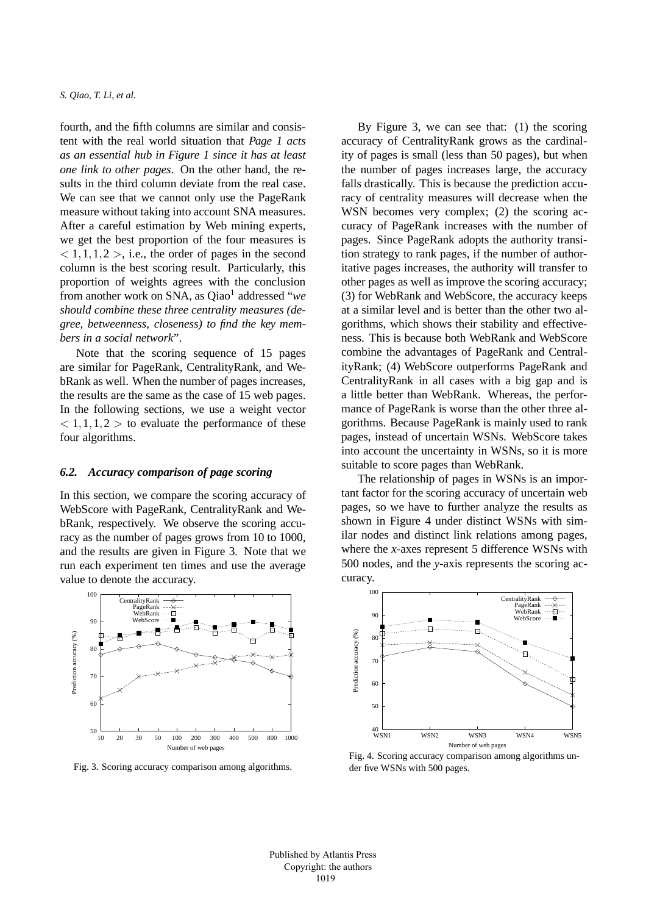fourth, and the fifth columns are similar and consistent with the real world situation that *Page 1 acts as an essential hub in Figure 1 since it has at least one link to other pages*. On the other hand, the results in the third column deviate from the real case. We can see that we cannot only use the PageRank measure without taking into account SNA measures. After a careful estimation by Web mining experts, we get the best proportion of the four measures is  $< 1, 1, 1, 2 >$ , i.e., the order of pages in the second column is the best scoring result. Particularly, this proportion of weights agrees with the conclusion from another work on SNA, as Qiao<sup>1</sup> addressed "we *should combine these three centrality measures (degree, betweenness, closeness) to find the key members in a social network*".

Note that the scoring sequence of 15 pages are similar for PageRank, CentralityRank, and WebRank as well. When the number of pages increases, the results are the same as the case of 15 web pages. In the following sections, we use a weight vector  $< 1.1.1.2 >$  to evaluate the performance of these four algorithms.

### *6.2. Accuracy comparison of page scoring*

In this section, we compare the scoring accuracy of WebScore with PageRank, CentralityRank and WebRank, respectively. We observe the scoring accuracy as the number of pages grows from 10 to 1000, and the results are given in Figure 3. Note that we run each experiment ten times and use the average value to denote the accuracy.



Fig. 3. Scoring accuracy comparison among algorithms.

By Figure 3, we can see that: (1) the scoring accuracy of CentralityRank grows as the cardinality of pages is small (less than 50 pages), but when the number of pages increases large, the accuracy falls drastically. This is because the prediction accuracy of centrality measures will decrease when the WSN becomes very complex; (2) the scoring accuracy of PageRank increases with the number of pages. Since PageRank adopts the authority transition strategy to rank pages, if the number of authoritative pages increases, the authority will transfer to other pages as well as improve the scoring accuracy; (3) for WebRank and WebScore, the accuracy keeps at a similar level and is better than the other two algorithms, which shows their stability and effectiveness. This is because both WebRank and WebScore combine the advantages of PageRank and CentralityRank; (4) WebScore outperforms PageRank and CentralityRank in all cases with a big gap and is a little better than WebRank. Whereas, the performance of PageRank is worse than the other three algorithms. Because PageRank is mainly used to rank pages, instead of uncertain WSNs. WebScore takes into account the uncertainty in WSNs, so it is more suitable to score pages than WebRank.

The relationship of pages in WSNs is an important factor for the scoring accuracy of uncertain web pages, so we have to further analyze the results as shown in Figure 4 under distinct WSNs with similar nodes and distinct link relations among pages, where the *x*-axes represent 5 difference WSNs with 500 nodes, and the *y*-axis represents the scoring accuracy.



Fig. 4. Scoring accuracy comparison among algorithms under five WSNs with 500 pages.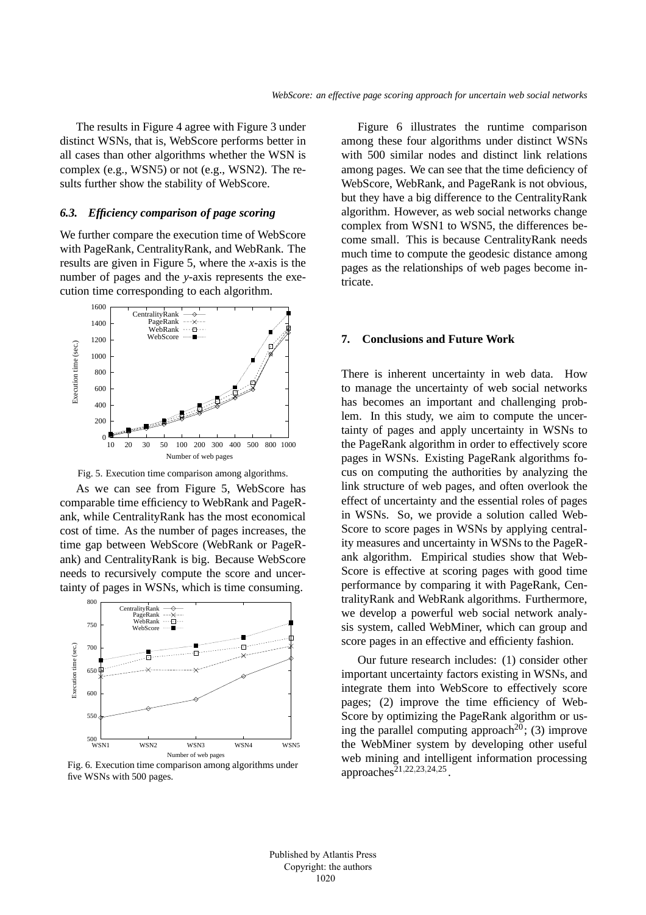The results in Figure 4 agree with Figure 3 under distinct WSNs, that is, WebScore performs better in all cases than other algorithms whether the WSN is complex (e.g., WSN5) or not (e.g., WSN2). The results further show the stability of WebScore.

## *6.3. Efficiency comparison of page scoring*

We further compare the execution time of WebScore with PageRank, CentralityRank, and WebRank. The results are given in Figure 5, where the *x*-axis is the number of pages and the *y*-axis represents the execution time corresponding to each algorithm.



Fig. 5. Execution time comparison among algorithms.

As we can see from Figure 5, WebScore has comparable time efficiency to WebRank and PageRank, while CentralityRank has the most economical cost of time. As the number of pages increases, the time gap between WebScore (WebRank or PageRank) and CentralityRank is big. Because WebScore needs to recursively compute the score and uncertainty of pages in WSNs, which is time consuming.



Fig. 6. Execution time comparison among algorithms under five WSNs with 500 pages.

Figure 6 illustrates the runtime comparison among these four algorithms under distinct WSNs with 500 similar nodes and distinct link relations among pages. We can see that the time deficiency of WebScore, WebRank, and PageRank is not obvious, but they have a big difference to the CentralityRank algorithm. However, as web social networks change complex from WSN1 to WSN5, the differences become small. This is because CentralityRank needs much time to compute the geodesic distance among pages as the relationships of web pages become intricate.

### **7. Conclusions and Future Work**

There is inherent uncertainty in web data. How to manage the uncertainty of web social networks has becomes an important and challenging problem. In this study, we aim to compute the uncertainty of pages and apply uncertainty in WSNs to the PageRank algorithm in order to effectively score pages in WSNs. Existing PageRank algorithms focus on computing the authorities by analyzing the link structure of web pages, and often overlook the effect of uncertainty and the essential roles of pages in WSNs. So, we provide a solution called Web-Score to score pages in WSNs by applying centrality measures and uncertainty in WSNs to the PageRank algorithm. Empirical studies show that Web-Score is effective at scoring pages with good time performance by comparing it with PageRank, CentralityRank and WebRank algorithms. Furthermore, we develop a powerful web social network analysis system, called WebMiner, which can group and score pages in an effective and efficienty fashion.

Our future research includes: (1) consider other important uncertainty factors existing in WSNs, and integrate them into WebScore to effectively score pages; (2) improve the time efficiency of Web-Score by optimizing the PageRank algorithm or using the parallel computing approach<sup>20</sup>; (3) improve the WebMiner system by developing other useful web mining and intelligent information processing approaches<sup>21,22,23,24,25</sup>.